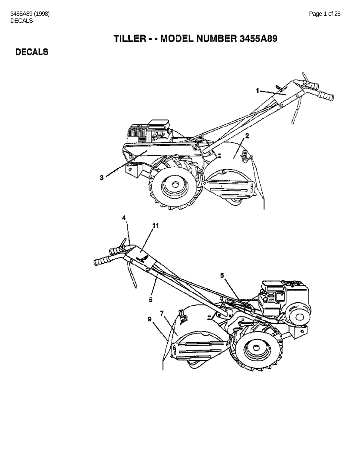### **DECALS**

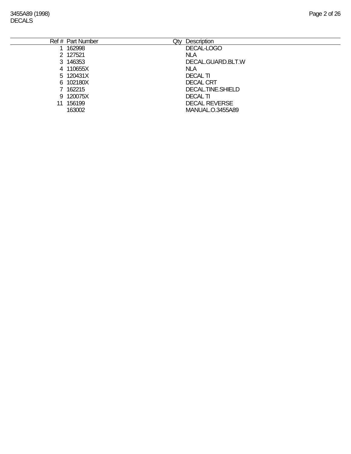| Description             |
|-------------------------|
| DECAL-LOGO              |
| <b>NLA</b>              |
| DECAL.GUARD.BLT.W       |
| <b>NLA</b>              |
| <b>DECAL TI</b>         |
| <b>DECAL CRT</b>        |
| DECAL.TINE.SHIELD       |
| <b>DECAL TI</b>         |
| <b>DECAL REVERSE</b>    |
| <b>MANUAL.O.3455A89</b> |
|                         |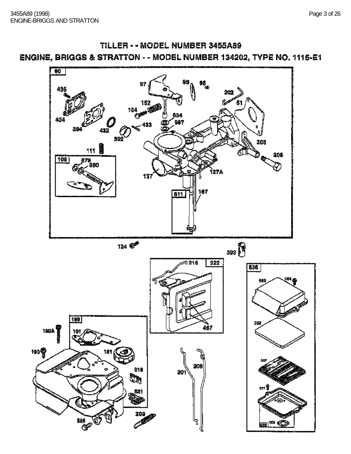

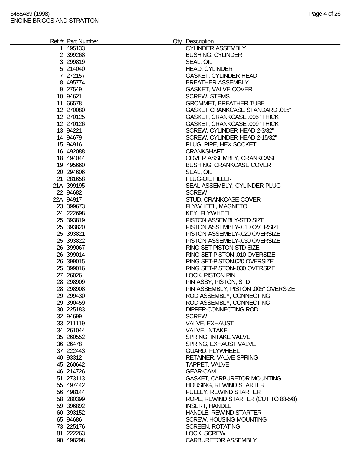| Ref # Part Number      | Qty Description<br><b>CYLINDER ASSEMBLY</b>   |  |
|------------------------|-----------------------------------------------|--|
| 1 495133<br>2 399268   | <b>BUSHING, CYLINDER</b>                      |  |
| 3 299819               | SEAL, OIL                                     |  |
| 5 214040               | <b>HEAD, CYLINDER</b>                         |  |
| 7 272157               | <b>GASKET, CYLINDER HEAD</b>                  |  |
| 8 495774               | <b>BREATHER ASSEMBLY</b>                      |  |
| 9 27549                | GASKET, VALVE COVER                           |  |
| 10 94621               | <b>SCREW, STEMS</b>                           |  |
| 11 66578               | <b>GROMMET, BREATHER TUBE</b>                 |  |
| 12 270080              | <b>GASKET CRANKCASE STANDARD .015"</b>        |  |
| 12 270125              | <b>GASKET, CRANKCASE .005" THICK</b>          |  |
| 12 270126              | GASKET, CRANKCASE .009" THICK                 |  |
| 13 94221               | SCREW, CYLINDER HEAD 2-3/32"                  |  |
| 14 94679               | SCREW, CYLINDER HEAD 2-15/32"                 |  |
| 15 94916               | PLUG, PIPE, HEX SOCKET                        |  |
| 16 492088              | <b>CRANKSHAFT</b>                             |  |
| 18 494044              | COVER ASSEMBLY, CRANKCASE                     |  |
| 19 495660              | <b>BUSHING, CRANKCASE COVER</b>               |  |
| 20 294606              | SEAL, OIL                                     |  |
| 21 281658              | PLUG-OIL FILLER                               |  |
| 21A 399195             | SEAL ASSEMBLY, CYLINDER PLUG                  |  |
| 22 94682               | <b>SCREW</b>                                  |  |
| 22A 94917              | STUD, CRANKCASE COVER                         |  |
| 23 399673              | FLYWHEEL, MAGNETO                             |  |
| 24 222698              | <b>KEY, FLYWHEEL</b>                          |  |
| 25 393819              | PISTON ASSEMBLY-STD SIZE                      |  |
| 25 393820              | PISTON ASSEMBLY-.010 OVERSIZE                 |  |
| 25 393821              | PISTON ASSEMBLY-.020 OVERSIZE                 |  |
| 25 393822              | PISTON ASSEMBLY-.030 OVERSIZE                 |  |
| 26 399067              | RING SET-PISTON-STD SIZE                      |  |
| 26 399014              | RING SET-PISTON-.010 OVERSIZE                 |  |
| 26 399015              | RING SET-PISTON.020 OVERSIZE                  |  |
| 25 399016              | RING SET-PISTON-.030 OVERSIZE                 |  |
| 27 26026               | <b>LOCK, PISTON PIN</b>                       |  |
| 28 298909              | PIN ASSY, PISTON, STD                         |  |
| 28 298908              | PIN ASSEMBLY, PISTON .005" OVERSIZE           |  |
| 29 299430              | ROD ASSEMBLY, CONNECTING                      |  |
| 29 390459              | ROD ASSEMBLY, CONNECTING                      |  |
| 30 225183              | DIPPER-CONNECTING ROD                         |  |
| 32 94699               | <b>SCREW</b>                                  |  |
| 33 211119<br>34 261044 | <b>VALVE, EXHAUST</b><br><b>VALVE, INTAKE</b> |  |
| 35 260552              | SPRING, INTAKE VALVE                          |  |
| 36 26478               | SPRING, EXHAUST VALVE                         |  |
| 37 222443              | <b>GUARD, FLYWHEEL</b>                        |  |
| 40 93312               | <b>RETAINER, VALVE SPRING</b>                 |  |
| 45 260642              | TAPPET, VALVE                                 |  |
| 46 214726              | <b>GEAR-CAM</b>                               |  |
| 51 273113              | GASKET, CARBURETOR MOUNTING                   |  |
| 55 497442              | HOUSING, REWIND STARTER                       |  |
| 56 498144              | PULLEY, REWIND STARTER                        |  |
| 58 280399              | ROPE, REWIND STARTER (CUT TO 88-5/8)          |  |
| 59 39 689 2            | <b>INSERT, HANDLE</b>                         |  |
| 60 393152              | HANDLE, REWIND STARTER                        |  |
| 65 94686               | <b>SCREW, HOUSING MOUNTING</b>                |  |
| 73 225176              | <b>SCREEN, ROTATING</b>                       |  |
| 81 222263              | LOCK, SCREW                                   |  |
| 90 498298              | <b>CARBURETOR ASSEMBLY</b>                    |  |
|                        |                                               |  |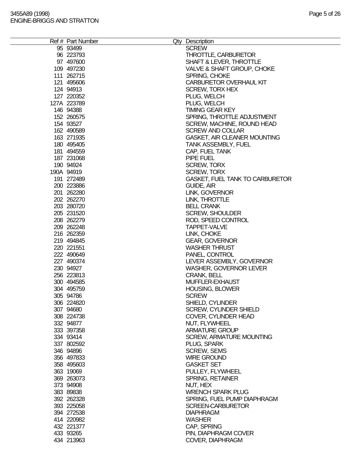| Ref # Part Number | Qty Description                        |
|-------------------|----------------------------------------|
| 95 93499          | <b>SCREW</b>                           |
| 96 223793         | THROTTLE, CARBURETOR                   |
| 97 497600         | SHAFT & LEVER, THROTTLE                |
| 109 497230        | VALVE & SHAFT GROUP, CHOKE             |
| 111 262715        | SPRING, CHOKE                          |
|                   |                                        |
| 121 495606        | <b>CARBURETOR OVERHAUL KIT</b>         |
| 124 94913         | <b>SCREW, TORX HEX</b>                 |
| 127 220352        | PLUG, WELCH                            |
| 127A 223789       | PLUG, WELCH                            |
| 146 94388         | <b>TIMING GEAR KEY</b>                 |
| 152 260575        | SPRING, THROTTLE ADJUSTMENT            |
| 154 93527         | SCREW, MACHINE, ROUND HEAD             |
| 162 490589        | <b>SCREW AND COLLAR</b>                |
|                   |                                        |
| 163 271935        | <b>GASKET, AIR CLEANER MOUNTING</b>    |
| 180 495405        | <b>TANK ASSEMBLY, FUEL</b>             |
| 181 494559        | CAP, FUEL TANK                         |
| 187 231068        | PIPE FUEL                              |
| 190 94924         | <b>SCREW, TORX</b>                     |
| 190A 94919        | <b>SCREW, TORX</b>                     |
| 191 272489        | <b>GASKET, FUEL TANK TO CARBURETOR</b> |
| 200 223886        | GUIDE, AIR                             |
| 201 262280        | LINK, GOVERNOR                         |
|                   |                                        |
| 202 262270        | LINK, THROTTLE                         |
| 203 280720        | <b>BELL CRANK</b>                      |
| 205 231520        | <b>SCREW, SHOULDER</b>                 |
| 208 262279        | ROD, SPEED CONTROL                     |
| 209 262248        | TAPPET-VALVE                           |
| 216 262359        | LINK, CHOKE                            |
| 219 494845        | <b>GEAR, GOVERNOR</b>                  |
| 220 221551        | <b>WASHER THRUST</b>                   |
| 222 490649        | PANEL, CONTROL                         |
|                   |                                        |
| 227 490374        | LEVER ASSEMBLY, GOVERNOR               |
| 230 94927         | <b>WASHER, GOVERNOR LEVER</b>          |
| 256 223813        | <b>CRANK, BELL</b>                     |
| 300 494585        | MUFFLER-EXHAUST                        |
| 304 495759        | <b>HOUSING, BLOWER</b>                 |
| 305 94786         | <b>SCREW</b>                           |
| 306 224820        | <b>SHIELD, CYLINDER</b>                |
| 307 94680         | SCREW, CYLINDER SHIELD                 |
| 308 224738        | COVER, CYLINDER HEAD                   |
|                   |                                        |
| 332 94877         | NUT, FLYWHEEL                          |
| 333 397358        | <b>ARMATURE GROUP</b>                  |
| 334 93414         | <b>SCREW, ARMATURE MOUNTING</b>        |
| 337 802592        | PLUG, SPARK                            |
| 346 94896         | <b>SCREW, SEMS</b>                     |
| 356 497833        | <b>WIRE GROUND</b>                     |
| 358 495603        | <b>GASKET SET</b>                      |
| 363 19069         | PULLEY, FLYWHEEL                       |
| 369 263073        | SPRING, RETAINER                       |
|                   |                                        |
| 373 94908         | NUT, HEX                               |
| 383 89838         | <b>WRENCH SPARK PLUG</b>               |
| 392 262328        | SPRING, FUEL PUMP DIAPHRAGM            |
| 393 225058        | <b>SCREEN-CARBURETOR</b>               |
| 394 272538        | <b>DIAPHRAGM</b>                       |
| 414 220982        | <b>WASHER</b>                          |
| 432 221377        | CAP, SPRING                            |
| 433 93265         | PIN, DIAPHRAGM COVER                   |
| 434 213963        | COVER, DIAPHRAGM                       |
|                   |                                        |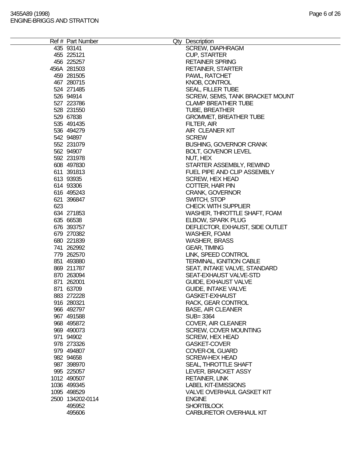|     | Ref # Part Number | Qty Description                 |
|-----|-------------------|---------------------------------|
|     | 435 93141         | <b>SCREW, DIAPHRAGM</b>         |
|     | 455 225121        | <b>CUP, STARTER</b>             |
|     | 456 225257        | <b>RETAINER SPRING</b>          |
|     | 456A 281503       | <b>RETAINER, STARTER</b>        |
|     | 459 281505        | PAWL, RATCHET                   |
|     | 467 280715        | <b>KNOB, CONTROL</b>            |
|     | 524 271485        | <b>SEAL, FILLER TUBE</b>        |
|     | 526 94914         | SCREW, SEMS, TANK BRACKET MOUNT |
|     | 527 223786        | <b>CLAMP BREATHER TUBE</b>      |
|     |                   |                                 |
|     | 528 231550        | <b>TUBE, BREATHER</b>           |
|     | 529 67838         | <b>GROMMET, BREATHER TUBE</b>   |
|     | 535 491435        | FILTER, AIR                     |
|     | 536 494279        | AIR CLEANER KIT                 |
|     | 542 94897         | <b>SCREW</b>                    |
|     | 552 231079        | <b>BUSHING, GOVERNOR CRANK</b>  |
|     | 562 94907         | <b>BOLT, GOVENOR LEVEL</b>      |
|     | 592 231978        | NUT, HEX                        |
|     | 608 497830        | STARTER ASSEMBLY, REWIND        |
|     | 611 391813        | FUEL PIPE AND CLIP ASSEMBLY     |
|     | 613 93935         | <b>SCREW, HEX HEAD</b>          |
|     | 614 93306         | COTTER, HAIR PIN                |
|     | 616 495243        | <b>CRANK, GOVERNOR</b>          |
|     |                   |                                 |
|     | 621 396847        | SWITCH, STOP                    |
| 623 |                   | <b>CHECK WITH SUPPLIER</b>      |
|     | 634 271853        | WASHER, THROTTLE SHAFT, FOAM    |
|     | 635 66538         | <b>ELBOW, SPARK PLUG</b>        |
|     | 676 393757        | DEFLECTOR, EXHAUST, SIDE OUTLET |
|     | 679 270382        | <b>WASHER, FOAM</b>             |
|     | 680 221839        | <b>WASHER, BRASS</b>            |
|     | 741 262992        | <b>GEAR, TIMING</b>             |
|     | 779 262570        | LINK, SPEED CONTROL             |
|     | 851 493880        | <b>TERMINAL, IGNITION CABLE</b> |
|     | 869 211787        | SEAT, INTAKE VALVE, STANDARD    |
|     | 870 263094        | SEAT-EXHAUST VALVE-STD          |
|     | 871 262001        | <b>GUIDE, EXHAUST VALVE</b>     |
|     | 871 63709         | <b>GUIDE, INTAKE VALVE</b>      |
|     | 883 272228        | <b>GASKET-EXHAUST</b>           |
|     | 916 280321        | RACK, GEAR CONTROL              |
|     | 966 492797        | <b>BASE, AIR CLEANER</b>        |
|     | 967 491588        | SUB=3364                        |
|     |                   |                                 |
|     | 968 495872        | <b>COVER, AIR CLEANER</b>       |
|     | 969 490073        | <b>SCREW, COVER MOUNTING</b>    |
|     | 971 94902         | <b>SCREW, HEX HEAD</b>          |
|     | 978 273326        | <b>GASKET-COVER</b>             |
|     | 979 494807        | <b>COVER-OIL GUARD</b>          |
|     | 982 94658         | <b>SCREW-HEX HEAD</b>           |
|     | 987 398970        | SEAL, THROTTLE SHAFT            |
|     | 995 225057        | LEVER, BRACKET ASSY             |
|     | 1012 490507       | <b>RETAINER, LINK</b>           |
|     | 1036 499345       | <b>LABEL KIT-EMISSIONS</b>      |
|     | 1095 498529       | VALVE OVERHAUL GASKET KIT       |
|     | 2500 134202-0114  | <b>ENGINE</b>                   |
|     | 495952            | <b>SHORTBLOCK</b>               |
|     | 495606            | <b>CARBURETOR OVERHAUL KIT</b>  |
|     |                   |                                 |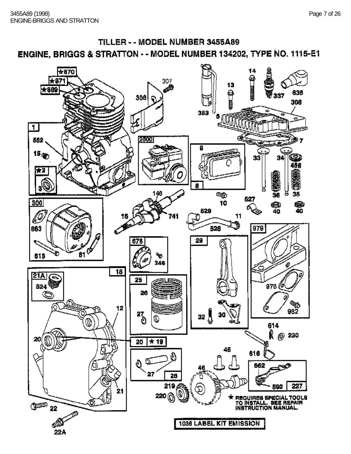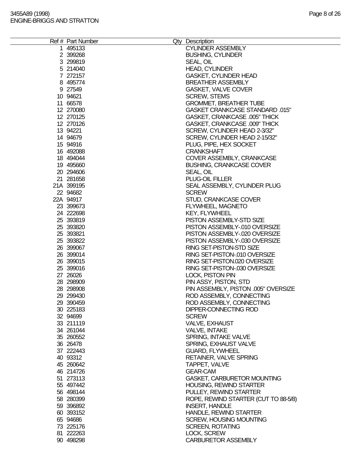| Ref # Part Number      | Qty Description<br><b>CYLINDER ASSEMBLY</b>   |  |
|------------------------|-----------------------------------------------|--|
| 1 495133<br>2 399268   | <b>BUSHING, CYLINDER</b>                      |  |
| 3 299819               | SEAL, OIL                                     |  |
| 5 214040               | <b>HEAD, CYLINDER</b>                         |  |
| 7 272157               | <b>GASKET, CYLINDER HEAD</b>                  |  |
| 8 495774               | <b>BREATHER ASSEMBLY</b>                      |  |
| 9 27549                | GASKET, VALVE COVER                           |  |
| 10 94621               | <b>SCREW, STEMS</b>                           |  |
| 11 66578               | <b>GROMMET, BREATHER TUBE</b>                 |  |
| 12 270080              | <b>GASKET CRANKCASE STANDARD .015"</b>        |  |
| 12 270125              | <b>GASKET, CRANKCASE .005" THICK</b>          |  |
| 12 270126              | GASKET, CRANKCASE .009" THICK                 |  |
| 13 94221               | SCREW, CYLINDER HEAD 2-3/32"                  |  |
| 14 94679               | SCREW, CYLINDER HEAD 2-15/32"                 |  |
| 15 94916               | PLUG, PIPE, HEX SOCKET                        |  |
| 16 492088              | <b>CRANKSHAFT</b>                             |  |
| 18 494044              | COVER ASSEMBLY, CRANKCASE                     |  |
| 19 495660              | <b>BUSHING, CRANKCASE COVER</b>               |  |
| 20 294606              | SEAL, OIL                                     |  |
| 21 281658              | PLUG-OIL FILLER                               |  |
| 21A 399195             | SEAL ASSEMBLY, CYLINDER PLUG                  |  |
| 22 94682               | <b>SCREW</b>                                  |  |
| 22A 94917              | STUD, CRANKCASE COVER                         |  |
| 23 399673              | FLYWHEEL, MAGNETO                             |  |
| 24 222698              | <b>KEY, FLYWHEEL</b>                          |  |
| 25 393819              | PISTON ASSEMBLY-STD SIZE                      |  |
| 25 393820              | PISTON ASSEMBLY-.010 OVERSIZE                 |  |
| 25 393821              | PISTON ASSEMBLY-.020 OVERSIZE                 |  |
| 25 393822              | PISTON ASSEMBLY-.030 OVERSIZE                 |  |
| 26 399067              | RING SET-PISTON-STD SIZE                      |  |
| 26 399014              | RING SET-PISTON-.010 OVERSIZE                 |  |
| 26 399015              | RING SET-PISTON.020 OVERSIZE                  |  |
| 25 399016              | RING SET-PISTON-.030 OVERSIZE                 |  |
| 27 26026               | <b>LOCK, PISTON PIN</b>                       |  |
| 28 298909              | PIN ASSY, PISTON, STD                         |  |
| 28 298908              | PIN ASSEMBLY, PISTON .005" OVERSIZE           |  |
| 29 299430              | ROD ASSEMBLY, CONNECTING                      |  |
| 29 390459              | ROD ASSEMBLY, CONNECTING                      |  |
| 30 225183              | DIPPER-CONNECTING ROD                         |  |
| 32 94699               | <b>SCREW</b>                                  |  |
| 33 211119<br>34 261044 | <b>VALVE, EXHAUST</b><br><b>VALVE, INTAKE</b> |  |
| 35 260552              | SPRING, INTAKE VALVE                          |  |
| 36 26478               | SPRING, EXHAUST VALVE                         |  |
| 37 222443              | <b>GUARD, FLYWHEEL</b>                        |  |
| 40 93312               | <b>RETAINER, VALVE SPRING</b>                 |  |
| 45 260642              | TAPPET, VALVE                                 |  |
| 46 214726              | <b>GEAR-CAM</b>                               |  |
| 51 273113              | GASKET, CARBURETOR MOUNTING                   |  |
| 55 497442              | HOUSING, REWIND STARTER                       |  |
| 56 498144              | PULLEY, REWIND STARTER                        |  |
| 58 280399              | ROPE, REWIND STARTER (CUT TO 88-5/8)          |  |
| 59 39 689 2            | <b>INSERT, HANDLE</b>                         |  |
| 60 393152              | HANDLE, REWIND STARTER                        |  |
| 65 94686               | <b>SCREW, HOUSING MOUNTING</b>                |  |
| 73 225176              | <b>SCREEN, ROTATING</b>                       |  |
| 81 222263              | LOCK, SCREW                                   |  |
| 90 498298              | <b>CARBURETOR ASSEMBLY</b>                    |  |
|                        |                                               |  |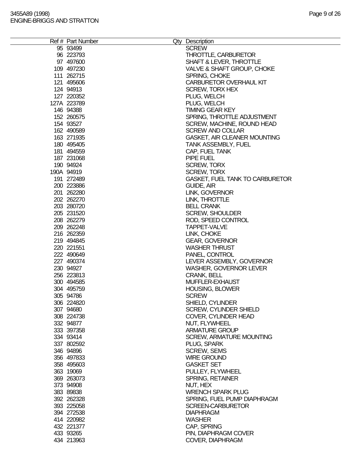| Ref # Part Number | Qty Description                        |
|-------------------|----------------------------------------|
| 95 93499          | <b>SCREW</b>                           |
| 96 223793         | THROTTLE, CARBURETOR                   |
| 97 497600         | SHAFT & LEVER, THROTTLE                |
| 109 497230        | VALVE & SHAFT GROUP, CHOKE             |
| 111 262715        | SPRING, CHOKE                          |
|                   |                                        |
| 121 495606        | <b>CARBURETOR OVERHAUL KIT</b>         |
| 124 94913         | <b>SCREW, TORX HEX</b>                 |
| 127 220352        | PLUG, WELCH                            |
| 127A 223789       | PLUG, WELCH                            |
| 146 94388         | <b>TIMING GEAR KEY</b>                 |
| 152 260575        | SPRING, THROTTLE ADJUSTMENT            |
| 154 93527         | SCREW, MACHINE, ROUND HEAD             |
| 162 490589        | <b>SCREW AND COLLAR</b>                |
|                   |                                        |
| 163 271935        | <b>GASKET, AIR CLEANER MOUNTING</b>    |
| 180 495405        | <b>TANK ASSEMBLY, FUEL</b>             |
| 181 494559        | CAP, FUEL TANK                         |
| 187 231068        | PIPE FUEL                              |
| 190 94924         | <b>SCREW, TORX</b>                     |
| 190A 94919        | <b>SCREW, TORX</b>                     |
| 191 272489        | <b>GASKET, FUEL TANK TO CARBURETOR</b> |
| 200 223886        | GUIDE, AIR                             |
| 201 262280        | LINK, GOVERNOR                         |
|                   |                                        |
| 202 262270        | LINK, THROTTLE                         |
| 203 280720        | <b>BELL CRANK</b>                      |
| 205 231520        | <b>SCREW, SHOULDER</b>                 |
| 208 262279        | ROD, SPEED CONTROL                     |
| 209 262248        | TAPPET-VALVE                           |
| 216 262359        | LINK, CHOKE                            |
| 219 494845        | <b>GEAR, GOVERNOR</b>                  |
| 220 221551        | <b>WASHER THRUST</b>                   |
| 222 490649        | PANEL, CONTROL                         |
|                   |                                        |
| 227 490374        | LEVER ASSEMBLY, GOVERNOR               |
| 230 94927         | <b>WASHER, GOVERNOR LEVER</b>          |
| 256 223813        | <b>CRANK, BELL</b>                     |
| 300 494585        | MUFFLER-EXHAUST                        |
| 304 495759        | <b>HOUSING, BLOWER</b>                 |
| 305 94786         | <b>SCREW</b>                           |
| 306 224820        | <b>SHIELD, CYLINDER</b>                |
| 307 94680         | SCREW, CYLINDER SHIELD                 |
| 308 224738        | COVER, CYLINDER HEAD                   |
|                   |                                        |
| 332 94877         | NUT, FLYWHEEL                          |
| 333 397358        | <b>ARMATURE GROUP</b>                  |
| 334 93414         | <b>SCREW, ARMATURE MOUNTING</b>        |
| 337 802592        | PLUG, SPARK                            |
| 346 94896         | <b>SCREW, SEMS</b>                     |
| 356 497833        | <b>WIRE GROUND</b>                     |
| 358 495603        | <b>GASKET SET</b>                      |
| 363 19069         | PULLEY, FLYWHEEL                       |
| 369 263073        | SPRING, RETAINER                       |
|                   |                                        |
| 373 94908         | NUT, HEX                               |
| 383 89838         | <b>WRENCH SPARK PLUG</b>               |
| 392 262328        | SPRING, FUEL PUMP DIAPHRAGM            |
| 393 225058        | <b>SCREEN-CARBURETOR</b>               |
| 394 272538        | <b>DIAPHRAGM</b>                       |
| 414 220982        | <b>WASHER</b>                          |
| 432 221377        | CAP, SPRING                            |
| 433 93265         | PIN, DIAPHRAGM COVER                   |
| 434 213963        | COVER, DIAPHRAGM                       |
|                   |                                        |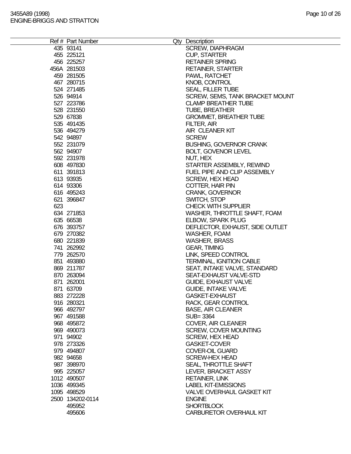|     | Ref # Part Number |                                  |
|-----|-------------------|----------------------------------|
|     |                   | Qty Description                  |
|     | 435 93141         | <b>SCREW, DIAPHRAGM</b>          |
|     | 455 225121        | <b>CUP, STARTER</b>              |
|     | 456 225257        | <b>RETAINER SPRING</b>           |
|     | 456A 281503       | <b>RETAINER, STARTER</b>         |
|     | 459 281505        | PAWL, RATCHET                    |
|     | 467 280715        | <b>KNOB, CONTROL</b>             |
|     | 524 271485        | <b>SEAL, FILLER TUBE</b>         |
|     | 526 94914         | SCREW, SEMS, TANK BRACKET MOUNT  |
|     | 527 223786        | <b>CLAMP BREATHER TUBE</b>       |
|     | 528 231550        | <b>TUBE, BREATHER</b>            |
|     | 529 67838         | <b>GROMMET, BREATHER TUBE</b>    |
|     | 535 491435        | FILTER, AIR                      |
|     | 536 494279        | AIR CLEANER KIT                  |
|     | 542 94897         | <b>SCREW</b>                     |
|     |                   |                                  |
|     | 552 231079        | <b>BUSHING, GOVERNOR CRANK</b>   |
|     | 562 94907         | BOLT, GOVENOR LEVEL              |
|     | 592 231978        | NUT, HEX                         |
|     | 608 497830        | STARTER ASSEMBLY, REWIND         |
|     | 611 391813        | FUEL PIPE AND CLIP ASSEMBLY      |
|     | 613 93935         | <b>SCREW, HEX HEAD</b>           |
|     | 614 93306         | COTTER, HAIR PIN                 |
|     | 616 495243        | <b>CRANK, GOVERNOR</b>           |
|     | 621 396847        | SWITCH, STOP                     |
| 623 |                   | <b>CHECK WITH SUPPLIER</b>       |
|     | 634 271853        | WASHER, THROTTLE SHAFT, FOAM     |
|     | 635 66538         | <b>ELBOW, SPARK PLUG</b>         |
|     | 676 393757        | DEFLECTOR, EXHAUST, SIDE OUTLET  |
|     | 679 270382        | WASHER, FOAM                     |
|     | 680 221839        | <b>WASHER, BRASS</b>             |
|     |                   |                                  |
|     | 741 262992        | <b>GEAR, TIMING</b>              |
|     | 779 262570        | LINK, SPEED CONTROL              |
|     | 851 493880        | <b>TERMINAL, IGNITION CABLE</b>  |
|     | 869 211787        | SEAT, INTAKE VALVE, STANDARD     |
|     | 870 263094        | SEAT-EXHAUST VALVE-STD           |
|     | 871 262001        | <b>GUIDE, EXHAUST VALVE</b>      |
|     | 871 63709         | <b>GUIDE, INTAKE VALVE</b>       |
|     | 883 272228        | <b>GASKET-EXHAUST</b>            |
|     | 916 280321        | RACK, GEAR CONTROL               |
|     | 966 492797        | <b>BASE, AIR CLEANER</b>         |
|     | 967 491588        | SUB=3364                         |
|     | 968 495872        | COVER, AIR CLEANER               |
|     | 969 490073        | <b>SCREW, COVER MOUNTING</b>     |
|     | 971 94902         | <b>SCREW, HEX HEAD</b>           |
|     | 978 273326        | <b>GASKET-COVER</b>              |
|     | 979 494807        | <b>COVER-OIL GUARD</b>           |
|     |                   |                                  |
|     | 982 94658         | <b>SCREW-HEX HEAD</b>            |
|     | 987 398970        | SEAL, THROTTLE SHAFT             |
|     | 995 225057        | LEVER, BRACKET ASSY              |
|     | 1012 490507       | <b>RETAINER, LINK</b>            |
|     | 1036 499345       | <b>LABEL KIT-EMISSIONS</b>       |
|     | 1095 498529       | <b>VALVE OVERHAUL GASKET KIT</b> |
|     | 2500 134202-0114  | <b>ENGINE</b>                    |
|     | 495952            | <b>SHORTBLOCK</b>                |
|     | 495606            | <b>CARBURETOR OVERHAUL KIT</b>   |
|     |                   |                                  |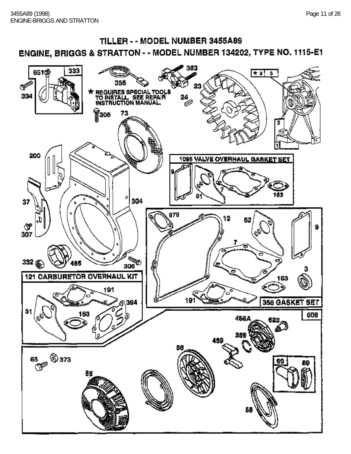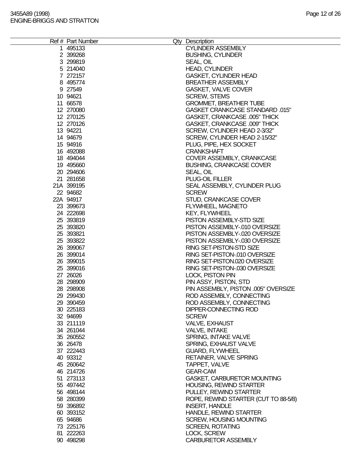| Ref # Part Number      | Qty Description                                        |
|------------------------|--------------------------------------------------------|
| 1 495133               | <b>CYLINDER ASSEMBLY</b>                               |
| 2 399268               | <b>BUSHING, CYLINDER</b>                               |
| 3 299819               | SEAL, OIL                                              |
| 5 214040               | <b>HEAD, CYLINDER</b>                                  |
| 7 272157               | <b>GASKET, CYLINDER HEAD</b>                           |
| 8 495774               | <b>BREATHER ASSEMBLY</b>                               |
| 9 27549                | GASKET, VALVE COVER                                    |
| 10 94621               | <b>SCREW, STEMS</b>                                    |
| 11 66578               | <b>GROMMET, BREATHER TUBE</b>                          |
| 12 270080              | <b>GASKET CRANKCASE STANDARD .015"</b>                 |
| 12 270125              | <b>GASKET, CRANKCASE .005" THICK</b>                   |
| 12 270126              | GASKET, CRANKCASE .009" THICK                          |
| 13 94221               | SCREW, CYLINDER HEAD 2-3/32"                           |
| 14 94679               | SCREW, CYLINDER HEAD 2-15/32"                          |
| 15 94916               | PLUG, PIPE, HEX SOCKET                                 |
| 16 492088              | <b>CRANKSHAFT</b>                                      |
| 18 494044              | COVER ASSEMBLY, CRANKCASE                              |
| 19 495660<br>20 294606 | <b>BUSHING, CRANKCASE COVER</b>                        |
| 21 281658              | SEAL, OIL<br>PLUG-OIL FILLER                           |
| 21A 399195             | SEAL ASSEMBLY, CYLINDER PLUG                           |
| 22 94682               | <b>SCREW</b>                                           |
| 22A 94917              | STUD, CRANKCASE COVER                                  |
| 23 399673              | FLYWHEEL, MAGNETO                                      |
| 24 222698              | <b>KEY, FLYWHEEL</b>                                   |
| 25 393819              | PISTON ASSEMBLY-STD SIZE                               |
| 25 393820              | PISTON ASSEMBLY-.010 OVERSIZE                          |
| 25 393821              | PISTON ASSEMBLY-.020 OVERSIZE                          |
| 25 393822              | PISTON ASSEMBLY-.030 OVERSIZE                          |
| 26 399067              | RING SET-PISTON-STD SIZE                               |
| 26 399014              | RING SET-PISTON-.010 OVERSIZE                          |
| 26 399015              | RING SET-PISTON.020 OVERSIZE                           |
| 25 399016              | RING SET-PISTON-.030 OVERSIZE                          |
| 27 26026               | <b>LOCK, PISTON PIN</b>                                |
| 28 298909              | PIN ASSY, PISTON, STD                                  |
| 28 298908              | PIN ASSEMBLY, PISTON .005" OVERSIZE                    |
| 29 299430              | ROD ASSEMBLY, CONNECTING                               |
| 29 390459              | ROD ASSEMBLY, CONNECTING                               |
| 30 225183              | DIPPER-CONNECTING ROD                                  |
| 32 94699               | <b>SCREW</b>                                           |
| 33 211119              | <b>VALVE, EXHAUST</b>                                  |
| 34 261044              | <b>VALVE, INTAKE</b>                                   |
| 35 260552              | SPRING, INTAKE VALVE                                   |
| 36 26478               | SPRING, EXHAUST VALVE                                  |
| 37 222443              | <b>GUARD, FLYWHEEL</b>                                 |
| 40 93312               | <b>RETAINER, VALVE SPRING</b>                          |
| 45 260642              | TAPPET, VALVE                                          |
| 46 214726              | <b>GEAR-CAM</b>                                        |
| 51 273113<br>55 497442 | GASKET, CARBURETOR MOUNTING<br>HOUSING, REWIND STARTER |
| 56 498144              | PULLEY, REWIND STARTER                                 |
| 58 280399              | ROPE, REWIND STARTER (CUT TO 88-5/8)                   |
| 59 39 689 2            | <b>INSERT, HANDLE</b>                                  |
| 60 393152              | HANDLE, REWIND STARTER                                 |
| 65 94686               | <b>SCREW, HOUSING MOUNTING</b>                         |
| 73 225176              | <b>SCREEN, ROTATING</b>                                |
| 81 222263              | LOCK, SCREW                                            |
| 90 498298              | <b>CARBURETOR ASSEMBLY</b>                             |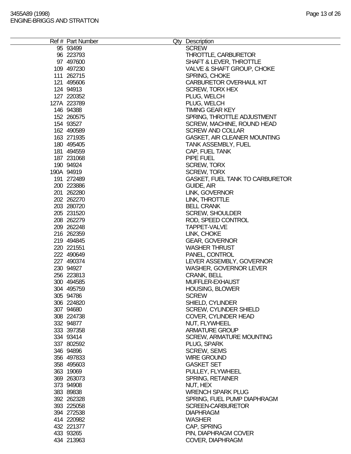e.

| Ref # Part Number | Qty Description                        |
|-------------------|----------------------------------------|
| 95 93499          | <b>SCREW</b>                           |
| 96 223793         | THROTTLE, CARBURETOR                   |
| 97 497600         | SHAFT & LEVER, THROTTLE                |
| 109 497230        | VALVE & SHAFT GROUP, CHOKE             |
| 111 262715        | SPRING, CHOKE                          |
|                   |                                        |
| 121 495606        | <b>CARBURETOR OVERHAUL KIT</b>         |
| 124 94913         | <b>SCREW, TORX HEX</b>                 |
| 127 220352        | PLUG, WELCH                            |
| 127A 223789       | PLUG, WELCH                            |
| 146 94388         | <b>TIMING GEAR KEY</b>                 |
| 152 260575        | SPRING, THROTTLE ADJUSTMENT            |
| 154 93527         | SCREW, MACHINE, ROUND HEAD             |
| 162 490589        | <b>SCREW AND COLLAR</b>                |
|                   |                                        |
| 163 271935        | <b>GASKET, AIR CLEANER MOUNTING</b>    |
| 180 495405        | <b>TANK ASSEMBLY, FUEL</b>             |
| 181 494559        | CAP, FUEL TANK                         |
| 187 231068        | PIPE FUEL                              |
| 190 94924         | <b>SCREW, TORX</b>                     |
| 190A 94919        | <b>SCREW, TORX</b>                     |
| 191 272489        | <b>GASKET, FUEL TANK TO CARBURETOR</b> |
| 200 223886        | GUIDE, AIR                             |
| 201 262280        | LINK, GOVERNOR                         |
|                   |                                        |
| 202 262270        | LINK, THROTTLE                         |
| 203 280720        | <b>BELL CRANK</b>                      |
| 205 231520        | <b>SCREW, SHOULDER</b>                 |
| 208 262279        | ROD, SPEED CONTROL                     |
| 209 262248        | TAPPET-VALVE                           |
| 216 262359        | LINK, CHOKE                            |
| 219 494845        | <b>GEAR, GOVERNOR</b>                  |
| 220 221551        | <b>WASHER THRUST</b>                   |
| 222 490649        | PANEL, CONTROL                         |
|                   |                                        |
| 227 490374        | LEVER ASSEMBLY, GOVERNOR               |
| 230 94927         | <b>WASHER, GOVERNOR LEVER</b>          |
| 256 223813        | <b>CRANK, BELL</b>                     |
| 300 494585        | MUFFLER-EXHAUST                        |
| 304 495759        | <b>HOUSING, BLOWER</b>                 |
| 305 94786         | <b>SCREW</b>                           |
| 306 224820        | <b>SHIELD, CYLINDER</b>                |
| 307 94680         | SCREW, CYLINDER SHIELD                 |
| 308 224738        | COVER, CYLINDER HEAD                   |
|                   |                                        |
| 332 94877         | NUT, FLYWHEEL                          |
| 333 397358        | <b>ARMATURE GROUP</b>                  |
| 334 93414         | <b>SCREW, ARMATURE MOUNTING</b>        |
| 337 802592        | PLUG, SPARK                            |
| 346 94896         | <b>SCREW, SEMS</b>                     |
| 356 497833        | <b>WIRE GROUND</b>                     |
| 358 495603        | <b>GASKET SET</b>                      |
| 363 19069         | PULLEY, FLYWHEEL                       |
| 369 263073        | SPRING, RETAINER                       |
|                   |                                        |
| 373 94908         | NUT, HEX                               |
| 383 89838         | <b>WRENCH SPARK PLUG</b>               |
| 392 262328        | SPRING, FUEL PUMP DIAPHRAGM            |
| 393 225058        | <b>SCREEN-CARBURETOR</b>               |
| 394 272538        | <b>DIAPHRAGM</b>                       |
| 414 220982        | <b>WASHER</b>                          |
| 432 221377        | CAP, SPRING                            |
| 433 93265         | PIN, DIAPHRAGM COVER                   |
| 434 213963        | COVER, DIAPHRAGM                       |
|                   |                                        |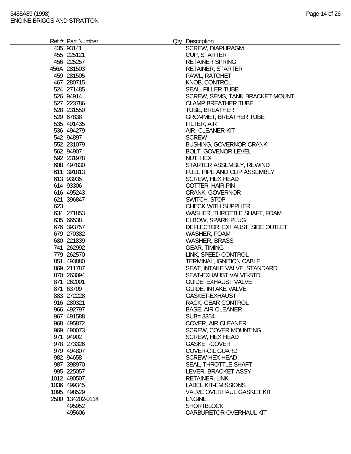|     | Ref # Part Number |                                  |
|-----|-------------------|----------------------------------|
|     |                   | Qty Description                  |
|     | 435 93141         | <b>SCREW, DIAPHRAGM</b>          |
|     | 455 225121        | <b>CUP, STARTER</b>              |
|     | 456 225257        | <b>RETAINER SPRING</b>           |
|     | 456A 281503       | <b>RETAINER, STARTER</b>         |
|     | 459 281505        | PAWL, RATCHET                    |
|     | 467 280715        | <b>KNOB, CONTROL</b>             |
|     | 524 271485        | <b>SEAL, FILLER TUBE</b>         |
|     | 526 94914         | SCREW, SEMS, TANK BRACKET MOUNT  |
|     | 527 223786        | <b>CLAMP BREATHER TUBE</b>       |
|     | 528 231550        | <b>TUBE, BREATHER</b>            |
|     | 529 67838         | <b>GROMMET, BREATHER TUBE</b>    |
|     | 535 491435        | FILTER, AIR                      |
|     | 536 494279        | AIR CLEANER KIT                  |
|     | 542 94897         | <b>SCREW</b>                     |
|     |                   |                                  |
|     | 552 231079        | <b>BUSHING, GOVERNOR CRANK</b>   |
|     | 562 94907         | BOLT, GOVENOR LEVEL              |
|     | 592 231978        | NUT, HEX                         |
|     | 608 497830        | STARTER ASSEMBLY, REWIND         |
|     | 611 391813        | FUEL PIPE AND CLIP ASSEMBLY      |
|     | 613 93935         | <b>SCREW, HEX HEAD</b>           |
|     | 614 93306         | COTTER, HAIR PIN                 |
|     | 616 495243        | <b>CRANK, GOVERNOR</b>           |
|     | 621 396847        | SWITCH, STOP                     |
| 623 |                   | <b>CHECK WITH SUPPLIER</b>       |
|     | 634 271853        | WASHER, THROTTLE SHAFT, FOAM     |
|     | 635 66538         | <b>ELBOW, SPARK PLUG</b>         |
|     | 676 393757        | DEFLECTOR, EXHAUST, SIDE OUTLET  |
|     | 679 270382        | <b>WASHER, FOAM</b>              |
|     | 680 221839        | <b>WASHER, BRASS</b>             |
|     |                   |                                  |
|     | 741 262992        | <b>GEAR, TIMING</b>              |
|     | 779 262570        | LINK, SPEED CONTROL              |
|     | 851 493880        | <b>TERMINAL, IGNITION CABLE</b>  |
|     | 869 211787        | SEAT, INTAKE VALVE, STANDARD     |
|     | 870 263094        | SEAT-EXHAUST VALVE-STD           |
|     | 871 262001        | <b>GUIDE, EXHAUST VALVE</b>      |
|     | 871 63709         | <b>GUIDE, INTAKE VALVE</b>       |
|     | 883 272228        | <b>GASKET-EXHAUST</b>            |
|     | 916 280321        | RACK, GEAR CONTROL               |
|     | 966 492797        | <b>BASE, AIR CLEANER</b>         |
|     | 967 491588        | SUB=3364                         |
|     | 968 495872        | COVER, AIR CLEANER               |
|     | 969 490073        | <b>SCREW, COVER MOUNTING</b>     |
|     | 971 94902         | <b>SCREW, HEX HEAD</b>           |
|     | 978 273326        | <b>GASKET-COVER</b>              |
|     | 979 494807        | <b>COVER-OIL GUARD</b>           |
|     |                   |                                  |
|     | 982 94658         | <b>SCREW-HEX HEAD</b>            |
|     | 987 398970        | SEAL, THROTTLE SHAFT             |
|     | 995 225057        | LEVER, BRACKET ASSY              |
|     | 1012 490507       | <b>RETAINER, LINK</b>            |
|     | 1036 499345       | <b>LABEL KIT-EMISSIONS</b>       |
|     | 1095 498529       | <b>VALVE OVERHAUL GASKET KIT</b> |
|     | 2500 134202-0114  | <b>ENGINE</b>                    |
|     | 495952            | <b>SHORTBLOCK</b>                |
|     | 495606            | <b>CARBURETOR OVERHAUL KIT</b>   |
|     |                   |                                  |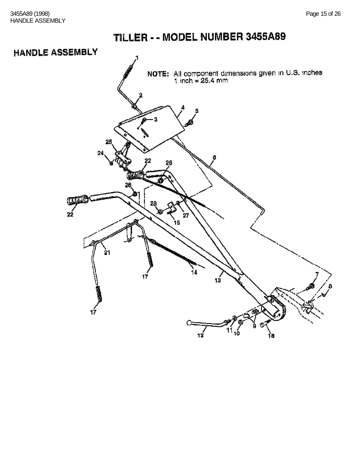### **HANDLE ASSEMBLY**

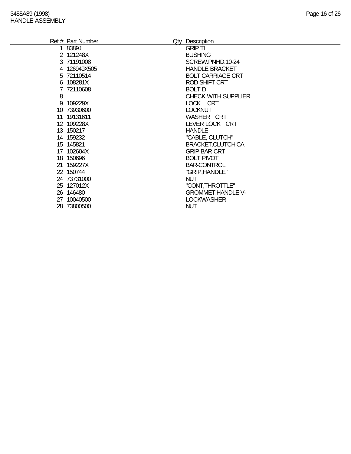÷,

|   | Ref # Part Number | Qty Description            |
|---|-------------------|----------------------------|
|   | 1 8389J           | <b>GRIP TI</b>             |
|   | 2 121248X         | <b>BUSHING</b>             |
|   | 3 71191008        | SCREW.PNHD.10-24           |
|   | 4 126949X505      | <b>HANDLE BRACKET</b>      |
|   | 5 72110514        | <b>BOLT CARRIAGE CRT</b>   |
|   | 6 108281X         | ROD SHIFT CRT              |
|   | 7 72110608        | <b>BOLT D</b>              |
| 8 |                   | <b>CHECK WITH SUPPLIER</b> |
|   | 9 109229X         | LOCK CRT                   |
|   | 10 73930600       | <b>LOCKNUT</b>             |
|   | 11 19131611       | WASHER CRT                 |
|   | 12 109228X        | LEVER LOCK CRT             |
|   | 13 150217         | <b>HANDLE</b>              |
|   | 14 159232         | "CABLE, CLUTCH"            |
|   | 15 145821         | <b>BRACKET.CLUTCH.CA</b>   |
|   | 17 102604X        | <b>GRIP BAR CRT</b>        |
|   | 18 150696         | <b>BOLT PIVOT</b>          |
|   | 21 159227X        | <b>BAR-CONTROL</b>         |
|   | 22 150744         | "GRIP, HANDLE"             |
|   | 24 73731000       | <b>NUT</b>                 |
|   | 25 127012X        | "CONT, THROTTLE"           |
|   | 26 146480         | <b>GROMMET.HANDLE.V-</b>   |
|   | 27 10040500       | <b>LOCKWASHER</b>          |
|   | 28 73800500       | <b>NUT</b>                 |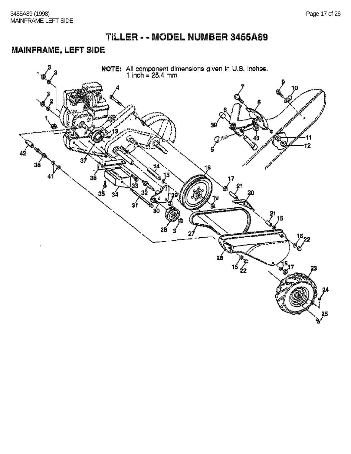#### MAINFRAME, LEFT SIDE

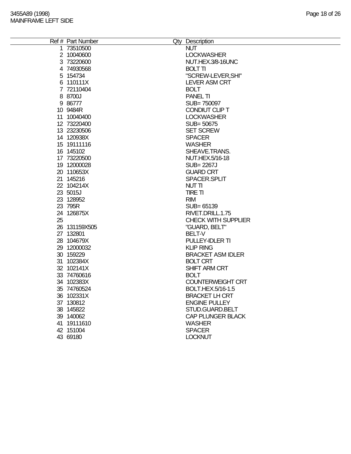|    | Ref # Part Number | Qty Description            |
|----|-------------------|----------------------------|
|    | 1 73510500        | <b>NUT</b>                 |
|    | 2 10040600        | <b>LOCKWASHER</b>          |
|    | 3 73220600        | NUT.HEX.3/8-16UNC          |
|    | 4 74930568        | <b>BOLT TI</b>             |
|    | 5 154734          | "SCREW-LEVER, SHI"         |
|    | 6 110111X         | <b>LEVER ASM CRT</b>       |
|    | 7 72110404        | <b>BOLT</b>                |
|    | 8 8700J           | <b>PANEL TI</b>            |
|    | 9 86777           | SUB=750097                 |
|    | 10 9484R          | CONDIUT CLIP T             |
|    | 11 10040400       | <b>LOCKWASHER</b>          |
|    | 12 73220400       | SUB= 50675                 |
|    | 13 23230506       | <b>SET SCREW</b>           |
|    | 14 120938X        | <b>SPACER</b>              |
|    | 15 19111116       | <b>WASHER</b>              |
|    | 16 145102         | SHEAVE.TRANS.              |
|    | 17 73220500       | NUT.HEX.5/16-18            |
|    | 19 12000028       | <b>SUB=2267J</b>           |
|    | 20 110653X        | <b>GUARD CRT</b>           |
|    | 21 145216         | SPACER.SPLIT               |
|    | 22 104214X        | NUT TI                     |
|    | 23 5015J          | <b>TIRE TI</b>             |
|    | 23 128952         | <b>RIM</b>                 |
|    | 23 795R           | SUB= 65139                 |
|    | 24 126875X        | RIVET.DRILL.1.75           |
| 25 |                   | <b>CHECK WITH SUPPLIER</b> |
|    | 26 131159X505     | "GUARD, BELT"              |
|    | 27 132801         | <b>BELT-V</b>              |
|    | 28 104679X        | PULLEY-IDLER TI            |
|    | 29 12000032       | <b>KLIP RING</b>           |
|    | 30 159229         | <b>BRACKET ASM IDLER</b>   |
|    | 31 102384X        | <b>BOLT CRT</b>            |
|    | 32 102141X        | <b>SHIFT ARM CRT</b>       |
|    | 33 74760616       | <b>BOLT</b>                |
|    | 34 102383X        | <b>COUNTERWEIGHT CRT</b>   |
|    | 35 74760524       | BOLT.HEX.5/16-1.5          |
|    | 36 102331X        | <b>BRACKET LH CRT</b>      |
|    | 37 130812         | <b>ENGINE PULLEY</b>       |
|    | 38 145822         | STUD.GUARD.BELT            |
|    | 39 140062         | CAP PLUNGER BLACK          |
|    | 41 19111610       | <b>WASHER</b>              |
|    | 42 151004         | <b>SPACER</b>              |
|    | 43 69180          | <b>LOCKNUT</b>             |
|    |                   |                            |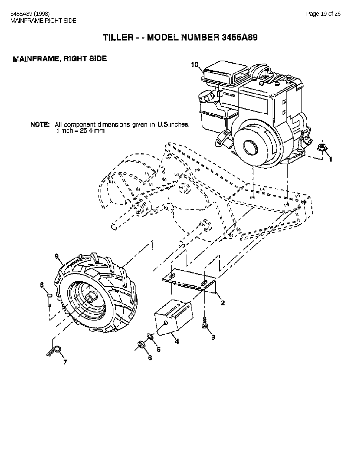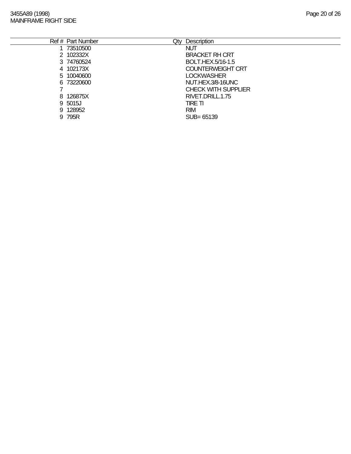| Ref # Part Number | Qty | <b>Description</b>         |
|-------------------|-----|----------------------------|
| 1 73510500        |     | <b>NUT</b>                 |
| 2 102332X         |     | <b>BRACKET RH CRT</b>      |
| 3 74760524        |     | BOLT.HEX.5/16-1.5          |
| 4 102173X         |     | <b>COUNTERWEIGHT CRT</b>   |
| 5 10040600        |     | <b>LOCKWASHER</b>          |
| 6 73220600        |     | NUT.HEX.3/8-16UNC          |
|                   |     | <b>CHECK WITH SUPPLIER</b> |
| 8 126875X         |     | RIVET.DRILL.1.75           |
| 9 5015J           |     | TIRE TI                    |
| 9 128952          |     | <b>RIM</b>                 |
| 9 795R            |     | $SUB = 65139$              |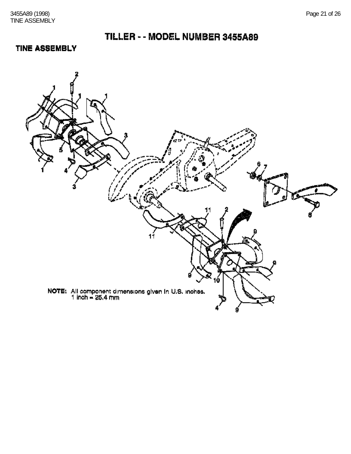#### **TINE ASSEMBLY**

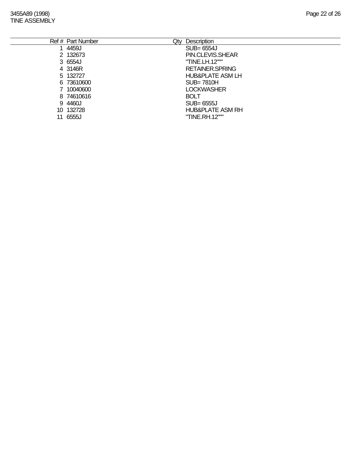3455A89 (1998) Page 22 of 26 TINE ASSEMBLY

|     | Ref # Part Number | <b>Description</b><br>Qty   |
|-----|-------------------|-----------------------------|
|     | 4459J             | SUB= 6554J                  |
|     | 2 132673          | PIN.CLEVIS.SHEAR            |
|     | 3 6554J           | "TINE.LH.12"""              |
|     | 4 3146R           | <b>RETAINER SPRING</b>      |
|     | 5 132727          | HUB&PLATE ASM LH            |
|     | 6 73610600        | $SUB = 7810H$               |
|     | 7 10040600        | <b>LOCKWASHER</b>           |
|     | 8 74610616        | <b>BOLT</b>                 |
|     | 9 4460J           | SUB= 6555J                  |
| 10. | 132728            | <b>HUB&amp;PLATE ASM RH</b> |
|     | 11 6555J          | "TINE.RH.12"""              |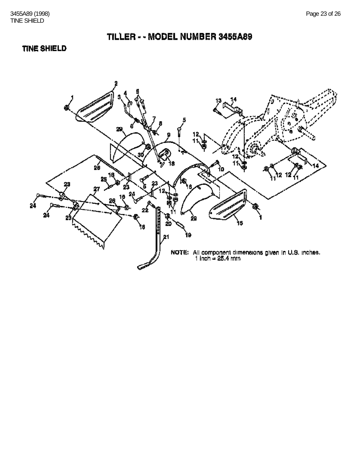#### **TINE SHIELD**

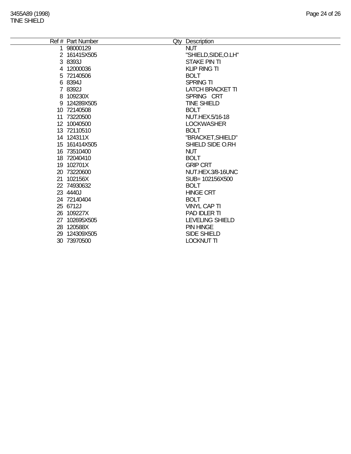| 98000129<br><b>NUT</b><br>$\mathbf 1$<br>"SHIELD, SIDE, O.LH"<br>2 161415X505<br>3 8393J<br>STAKE PIN TI<br><b>KLIP RING TI</b><br>4 12000036<br>5 72140506<br><b>BOLT</b><br>6 8394J<br><b>SPRING TI</b><br>7 8392J<br><b>LATCH BRACKET TI</b><br>8 109230X<br>SPRING CRT<br><b>TINE SHIELD</b><br>9 124289X505<br>10 72140508<br><b>BOLT</b><br>11 73220500<br><b>NUT.HEX.5/16-18</b><br>12 10040500<br><b>LOCKWASHER</b><br>13 72110510<br><b>BOLT</b><br>"BRACKET, SHIELD"<br>14 124311X<br>15 161414X505<br>SHIELD SIDE O.RH<br>16 73510400<br><b>NUT</b><br><b>BOLT</b><br>18 72040410<br>19 102701X<br><b>GRIP CRT</b><br>20 73220600<br>NUT.HEX.3/8-16UNC<br>21 102156X<br>SUB= 102156X500<br><b>BOLT</b><br>22 74930632<br>23 4440J<br><b>HINGE CRT</b><br>24 72140404<br><b>BOLT</b><br>25 6712J<br><b>VINYL CAP TI</b><br>PAD IDLER TI<br>26 109227X<br>27 102695X505<br><b>LEVELING SHIELD</b><br>28 120588X<br><b>PIN HINGE</b><br>29 124309X505<br><b>SIDE SHIELD</b> | Ref # Part Number | Qty Description   |
|-------------------------------------------------------------------------------------------------------------------------------------------------------------------------------------------------------------------------------------------------------------------------------------------------------------------------------------------------------------------------------------------------------------------------------------------------------------------------------------------------------------------------------------------------------------------------------------------------------------------------------------------------------------------------------------------------------------------------------------------------------------------------------------------------------------------------------------------------------------------------------------------------------------------------------------------------------------------------------------|-------------------|-------------------|
|                                                                                                                                                                                                                                                                                                                                                                                                                                                                                                                                                                                                                                                                                                                                                                                                                                                                                                                                                                                     |                   |                   |
|                                                                                                                                                                                                                                                                                                                                                                                                                                                                                                                                                                                                                                                                                                                                                                                                                                                                                                                                                                                     |                   |                   |
|                                                                                                                                                                                                                                                                                                                                                                                                                                                                                                                                                                                                                                                                                                                                                                                                                                                                                                                                                                                     |                   |                   |
|                                                                                                                                                                                                                                                                                                                                                                                                                                                                                                                                                                                                                                                                                                                                                                                                                                                                                                                                                                                     |                   |                   |
|                                                                                                                                                                                                                                                                                                                                                                                                                                                                                                                                                                                                                                                                                                                                                                                                                                                                                                                                                                                     |                   |                   |
|                                                                                                                                                                                                                                                                                                                                                                                                                                                                                                                                                                                                                                                                                                                                                                                                                                                                                                                                                                                     |                   |                   |
|                                                                                                                                                                                                                                                                                                                                                                                                                                                                                                                                                                                                                                                                                                                                                                                                                                                                                                                                                                                     |                   |                   |
|                                                                                                                                                                                                                                                                                                                                                                                                                                                                                                                                                                                                                                                                                                                                                                                                                                                                                                                                                                                     |                   |                   |
|                                                                                                                                                                                                                                                                                                                                                                                                                                                                                                                                                                                                                                                                                                                                                                                                                                                                                                                                                                                     |                   |                   |
|                                                                                                                                                                                                                                                                                                                                                                                                                                                                                                                                                                                                                                                                                                                                                                                                                                                                                                                                                                                     |                   |                   |
|                                                                                                                                                                                                                                                                                                                                                                                                                                                                                                                                                                                                                                                                                                                                                                                                                                                                                                                                                                                     |                   |                   |
|                                                                                                                                                                                                                                                                                                                                                                                                                                                                                                                                                                                                                                                                                                                                                                                                                                                                                                                                                                                     |                   |                   |
|                                                                                                                                                                                                                                                                                                                                                                                                                                                                                                                                                                                                                                                                                                                                                                                                                                                                                                                                                                                     |                   |                   |
|                                                                                                                                                                                                                                                                                                                                                                                                                                                                                                                                                                                                                                                                                                                                                                                                                                                                                                                                                                                     |                   |                   |
|                                                                                                                                                                                                                                                                                                                                                                                                                                                                                                                                                                                                                                                                                                                                                                                                                                                                                                                                                                                     |                   |                   |
|                                                                                                                                                                                                                                                                                                                                                                                                                                                                                                                                                                                                                                                                                                                                                                                                                                                                                                                                                                                     |                   |                   |
|                                                                                                                                                                                                                                                                                                                                                                                                                                                                                                                                                                                                                                                                                                                                                                                                                                                                                                                                                                                     |                   |                   |
|                                                                                                                                                                                                                                                                                                                                                                                                                                                                                                                                                                                                                                                                                                                                                                                                                                                                                                                                                                                     |                   |                   |
|                                                                                                                                                                                                                                                                                                                                                                                                                                                                                                                                                                                                                                                                                                                                                                                                                                                                                                                                                                                     |                   |                   |
|                                                                                                                                                                                                                                                                                                                                                                                                                                                                                                                                                                                                                                                                                                                                                                                                                                                                                                                                                                                     |                   |                   |
|                                                                                                                                                                                                                                                                                                                                                                                                                                                                                                                                                                                                                                                                                                                                                                                                                                                                                                                                                                                     |                   |                   |
|                                                                                                                                                                                                                                                                                                                                                                                                                                                                                                                                                                                                                                                                                                                                                                                                                                                                                                                                                                                     |                   |                   |
|                                                                                                                                                                                                                                                                                                                                                                                                                                                                                                                                                                                                                                                                                                                                                                                                                                                                                                                                                                                     |                   |                   |
|                                                                                                                                                                                                                                                                                                                                                                                                                                                                                                                                                                                                                                                                                                                                                                                                                                                                                                                                                                                     |                   |                   |
|                                                                                                                                                                                                                                                                                                                                                                                                                                                                                                                                                                                                                                                                                                                                                                                                                                                                                                                                                                                     |                   |                   |
|                                                                                                                                                                                                                                                                                                                                                                                                                                                                                                                                                                                                                                                                                                                                                                                                                                                                                                                                                                                     |                   |                   |
|                                                                                                                                                                                                                                                                                                                                                                                                                                                                                                                                                                                                                                                                                                                                                                                                                                                                                                                                                                                     |                   |                   |
|                                                                                                                                                                                                                                                                                                                                                                                                                                                                                                                                                                                                                                                                                                                                                                                                                                                                                                                                                                                     |                   |                   |
|                                                                                                                                                                                                                                                                                                                                                                                                                                                                                                                                                                                                                                                                                                                                                                                                                                                                                                                                                                                     | 30 73970500       | <b>LOCKNUT TI</b> |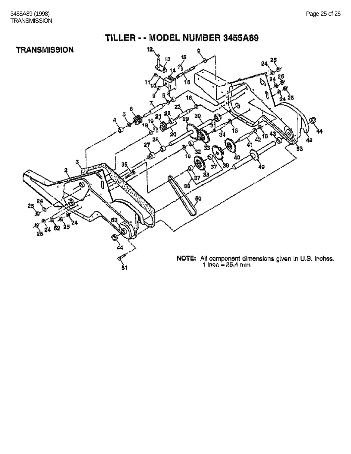